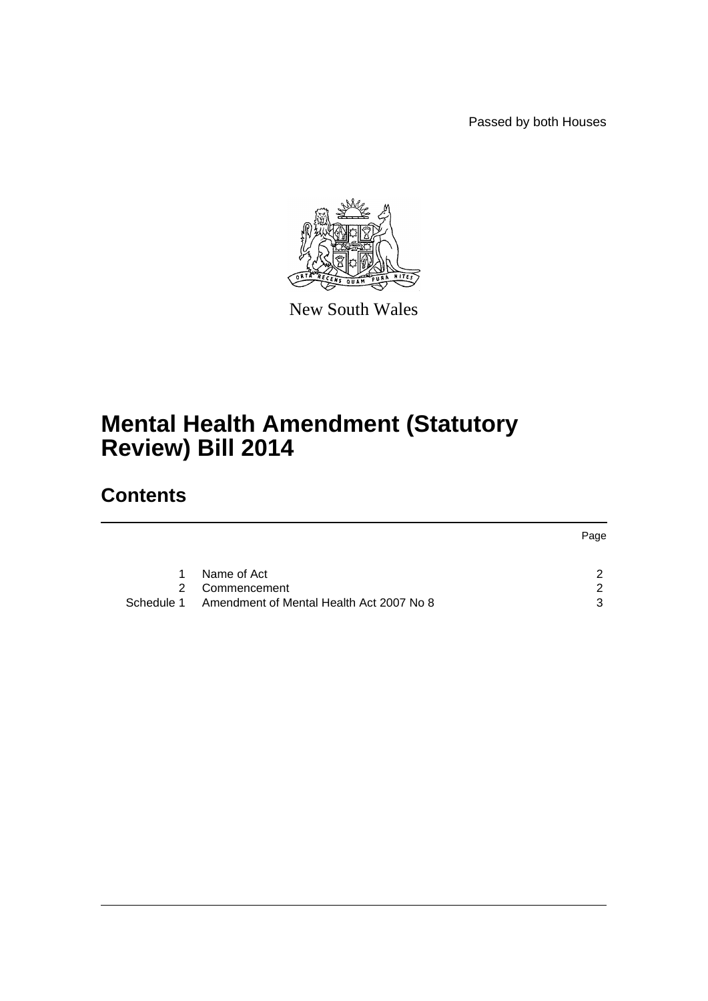Passed by both Houses



New South Wales

# **Mental Health Amendment (Statutory Review) Bill 2014**

# **Contents**

|   |                                                     | Page |
|---|-----------------------------------------------------|------|
|   |                                                     |      |
| 1 | Name of Act                                         | ົ    |
|   | 2 Commencement                                      | - 2  |
|   | Schedule 1 Amendment of Mental Health Act 2007 No 8 | 3    |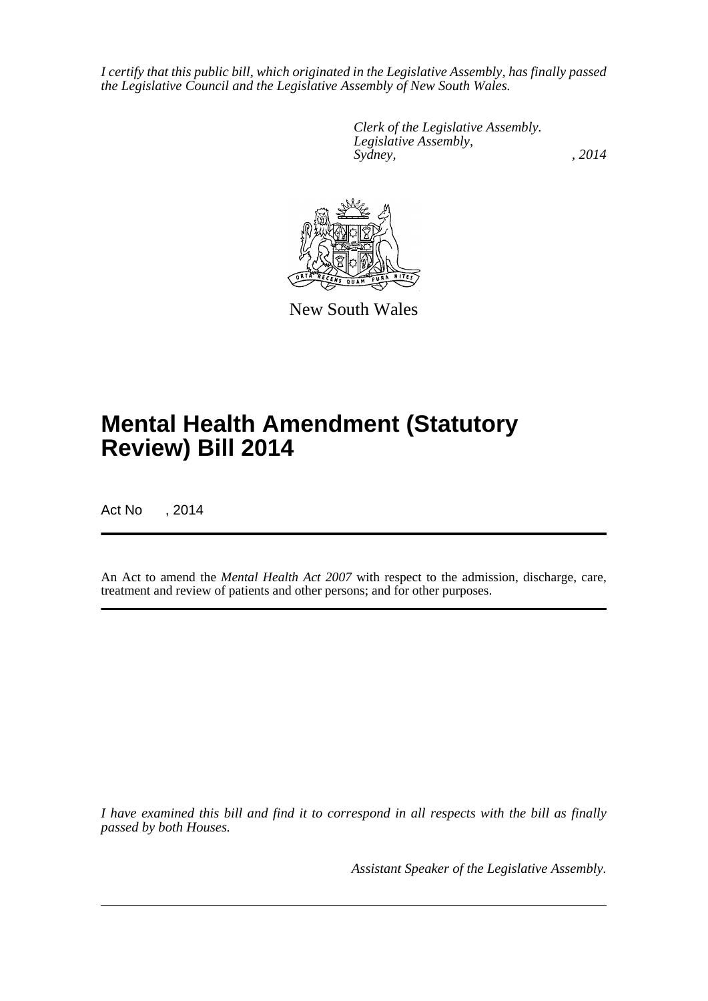*I certify that this public bill, which originated in the Legislative Assembly, has finally passed the Legislative Council and the Legislative Assembly of New South Wales.*

> *Clerk of the Legislative Assembly. Legislative Assembly, Sydney,* , 2014



New South Wales

# **Mental Health Amendment (Statutory Review) Bill 2014**

Act No , 2014

An Act to amend the *Mental Health Act 2007* with respect to the admission, discharge, care, treatment and review of patients and other persons; and for other purposes.

*I have examined this bill and find it to correspond in all respects with the bill as finally passed by both Houses.*

*Assistant Speaker of the Legislative Assembly.*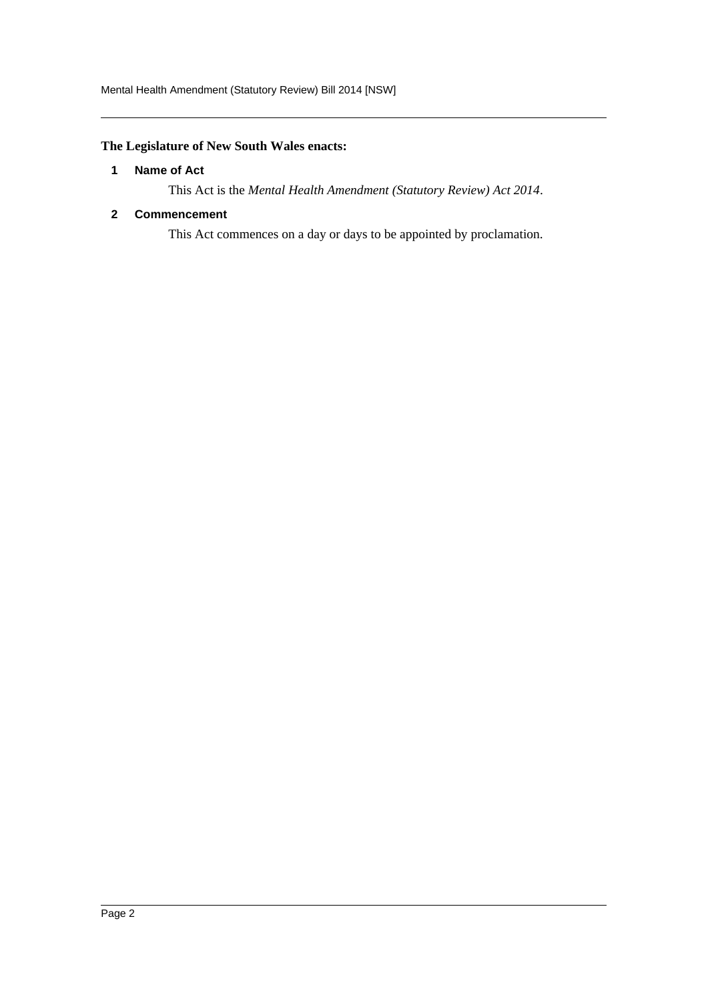## <span id="page-2-0"></span>**The Legislature of New South Wales enacts:**

## **1 Name of Act**

This Act is the *Mental Health Amendment (Statutory Review) Act 2014*.

## <span id="page-2-1"></span>**2 Commencement**

This Act commences on a day or days to be appointed by proclamation.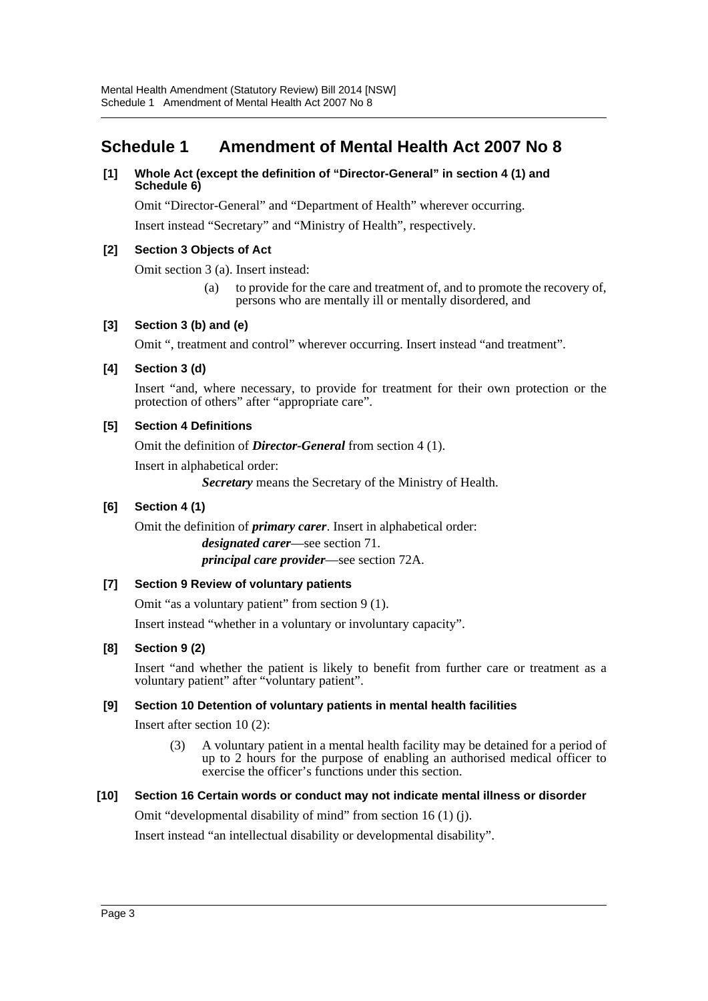## <span id="page-3-0"></span>**Schedule 1 Amendment of Mental Health Act 2007 No 8**

## **[1] Whole Act (except the definition of "Director-General" in section 4 (1) and Schedule 6)**

Omit "Director-General" and "Department of Health" wherever occurring.

Insert instead "Secretary" and "Ministry of Health", respectively.

## **[2] Section 3 Objects of Act**

Omit section 3 (a). Insert instead:

(a) to provide for the care and treatment of, and to promote the recovery of, persons who are mentally ill or mentally disordered, and

## **[3] Section 3 (b) and (e)**

Omit ", treatment and control" wherever occurring. Insert instead "and treatment".

## **[4] Section 3 (d)**

Insert "and, where necessary, to provide for treatment for their own protection or the protection of others" after "appropriate care".

## **[5] Section 4 Definitions**

Omit the definition of *Director-General* from section 4 (1).

Insert in alphabetical order:

*Secretary* means the Secretary of the Ministry of Health.

## **[6] Section 4 (1)**

Omit the definition of *primary carer*. Insert in alphabetical order: *designated carer*—see section 71. *principal care provider*—see section 72A.

## **[7] Section 9 Review of voluntary patients**

Omit "as a voluntary patient" from section 9 (1).

Insert instead "whether in a voluntary or involuntary capacity".

## **[8] Section 9 (2)**

Insert "and whether the patient is likely to benefit from further care or treatment as a voluntary patient" after "voluntary patient".

## **[9] Section 10 Detention of voluntary patients in mental health facilities**

Insert after section 10 (2):

(3) A voluntary patient in a mental health facility may be detained for a period of up to 2 hours for the purpose of enabling an authorised medical officer to exercise the officer's functions under this section.

## **[10] Section 16 Certain words or conduct may not indicate mental illness or disorder**

Omit "developmental disability of mind" from section 16 (1) (j).

Insert instead "an intellectual disability or developmental disability".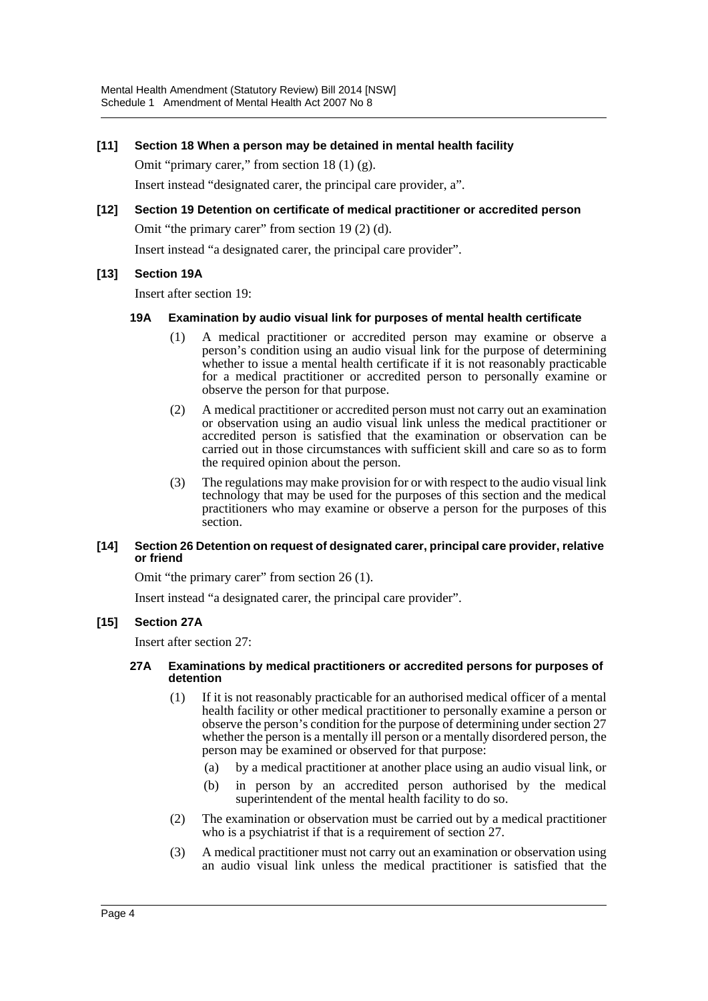## **[11] Section 18 When a person may be detained in mental health facility**

Omit "primary carer," from section 18 (1) (g).

Insert instead "designated carer, the principal care provider, a".

#### **[12] Section 19 Detention on certificate of medical practitioner or accredited person**

Omit "the primary carer" from section 19 (2) (d).

Insert instead "a designated carer, the principal care provider".

## **[13] Section 19A**

Insert after section 19:

#### **19A Examination by audio visual link for purposes of mental health certificate**

- (1) A medical practitioner or accredited person may examine or observe a person's condition using an audio visual link for the purpose of determining whether to issue a mental health certificate if it is not reasonably practicable for a medical practitioner or accredited person to personally examine or observe the person for that purpose.
- (2) A medical practitioner or accredited person must not carry out an examination or observation using an audio visual link unless the medical practitioner or accredited person is satisfied that the examination or observation can be carried out in those circumstances with sufficient skill and care so as to form the required opinion about the person.
- (3) The regulations may make provision for or with respect to the audio visual link technology that may be used for the purposes of this section and the medical practitioners who may examine or observe a person for the purposes of this section.

#### **[14] Section 26 Detention on request of designated carer, principal care provider, relative or friend**

Omit "the primary carer" from section 26 (1).

Insert instead "a designated carer, the principal care provider".

## **[15] Section 27A**

Insert after section 27:

#### **27A Examinations by medical practitioners or accredited persons for purposes of detention**

- (1) If it is not reasonably practicable for an authorised medical officer of a mental health facility or other medical practitioner to personally examine a person or observe the person's condition for the purpose of determining under section 27 whether the person is a mentally ill person or a mentally disordered person, the person may be examined or observed for that purpose:
	- (a) by a medical practitioner at another place using an audio visual link, or
	- (b) in person by an accredited person authorised by the medical superintendent of the mental health facility to do so.
- (2) The examination or observation must be carried out by a medical practitioner who is a psychiatrist if that is a requirement of section 27.
- (3) A medical practitioner must not carry out an examination or observation using an audio visual link unless the medical practitioner is satisfied that the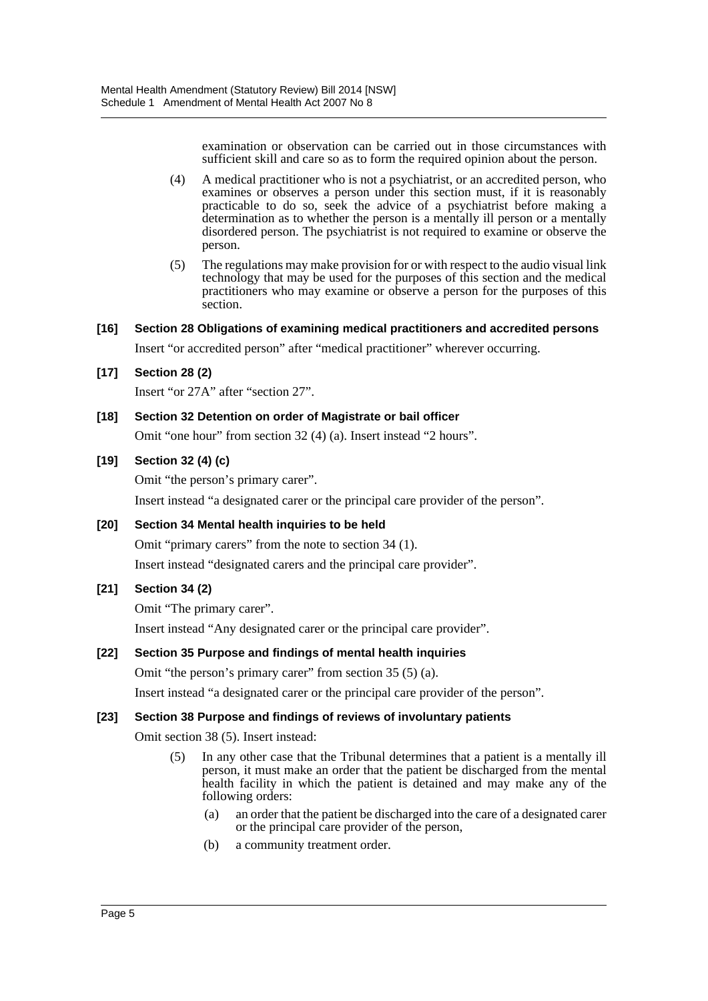examination or observation can be carried out in those circumstances with sufficient skill and care so as to form the required opinion about the person.

- (4) A medical practitioner who is not a psychiatrist, or an accredited person, who examines or observes a person under this section must, if it is reasonably practicable to do so, seek the advice of a psychiatrist before making a determination as to whether the person is a mentally ill person or a mentally disordered person. The psychiatrist is not required to examine or observe the person.
- (5) The regulations may make provision for or with respect to the audio visual link technology that may be used for the purposes of this section and the medical practitioners who may examine or observe a person for the purposes of this section.

## **[16] Section 28 Obligations of examining medical practitioners and accredited persons**

Insert "or accredited person" after "medical practitioner" wherever occurring.

## **[17] Section 28 (2)**

Insert "or 27A" after "section 27".

## **[18] Section 32 Detention on order of Magistrate or bail officer**

Omit "one hour" from section 32 (4) (a). Insert instead "2 hours".

## **[19] Section 32 (4) (c)**

Omit "the person's primary carer".

Insert instead "a designated carer or the principal care provider of the person".

## **[20] Section 34 Mental health inquiries to be held**

Omit "primary carers" from the note to section 34 (1). Insert instead "designated carers and the principal care provider".

## **[21] Section 34 (2)**

Omit "The primary carer".

Insert instead "Any designated carer or the principal care provider".

## **[22] Section 35 Purpose and findings of mental health inquiries**

Omit "the person's primary carer" from section 35 (5) (a).

Insert instead "a designated carer or the principal care provider of the person".

## **[23] Section 38 Purpose and findings of reviews of involuntary patients**

Omit section 38 (5). Insert instead:

- (5) In any other case that the Tribunal determines that a patient is a mentally ill person, it must make an order that the patient be discharged from the mental health facility in which the patient is detained and may make any of the following orders:
	- (a) an order that the patient be discharged into the care of a designated carer or the principal care provider of the person,
	- (b) a community treatment order.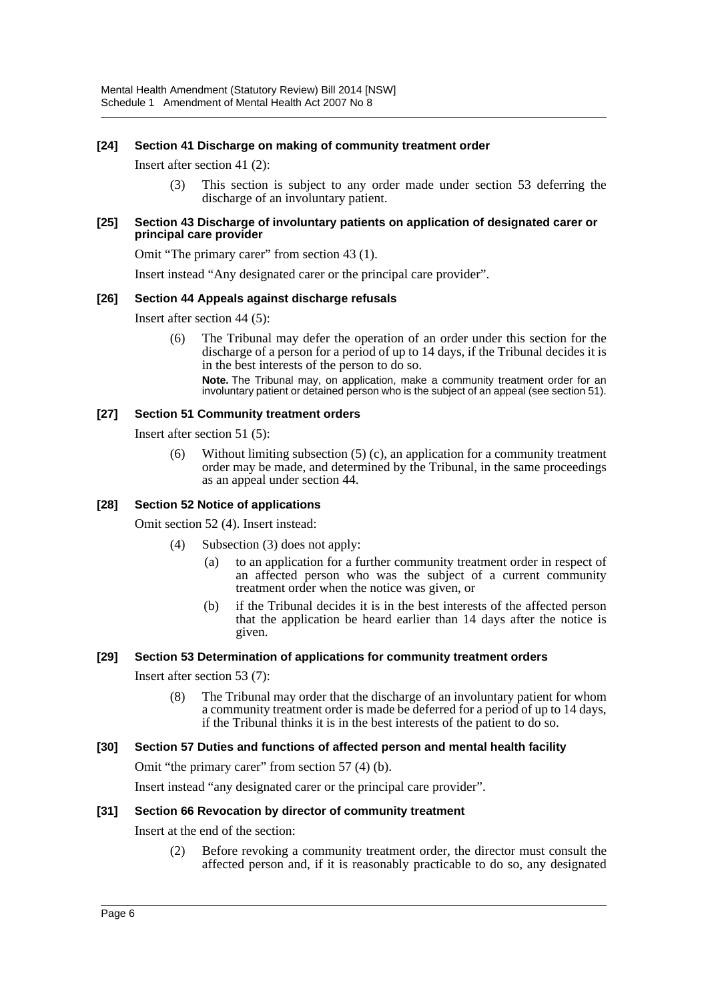## **[24] Section 41 Discharge on making of community treatment order**

Insert after section 41 (2):

(3) This section is subject to any order made under section 53 deferring the discharge of an involuntary patient.

#### **[25] Section 43 Discharge of involuntary patients on application of designated carer or principal care provider**

Omit "The primary carer" from section 43 (1).

Insert instead "Any designated carer or the principal care provider".

## **[26] Section 44 Appeals against discharge refusals**

Insert after section 44 (5):

(6) The Tribunal may defer the operation of an order under this section for the discharge of a person for a period of up to 14 days, if the Tribunal decides it is in the best interests of the person to do so. **Note.** The Tribunal may, on application, make a community treatment order for an involuntary patient or detained person who is the subject of an appeal (see section 51).

#### **[27] Section 51 Community treatment orders**

Insert after section 51 (5):

(6) Without limiting subsection (5) (c), an application for a community treatment order may be made, and determined by the Tribunal, in the same proceedings as an appeal under section 44.

#### **[28] Section 52 Notice of applications**

Omit section 52 (4). Insert instead:

- (4) Subsection (3) does not apply:
	- (a) to an application for a further community treatment order in respect of an affected person who was the subject of a current community treatment order when the notice was given, or
	- (b) if the Tribunal decides it is in the best interests of the affected person that the application be heard earlier than 14 days after the notice is given.

## **[29] Section 53 Determination of applications for community treatment orders**

Insert after section 53 (7):

(8) The Tribunal may order that the discharge of an involuntary patient for whom a community treatment order is made be deferred for a period of up to 14 days, if the Tribunal thinks it is in the best interests of the patient to do so.

## **[30] Section 57 Duties and functions of affected person and mental health facility**

Omit "the primary carer" from section 57 (4) (b).

Insert instead "any designated carer or the principal care provider".

## **[31] Section 66 Revocation by director of community treatment**

## Insert at the end of the section:

(2) Before revoking a community treatment order, the director must consult the affected person and, if it is reasonably practicable to do so, any designated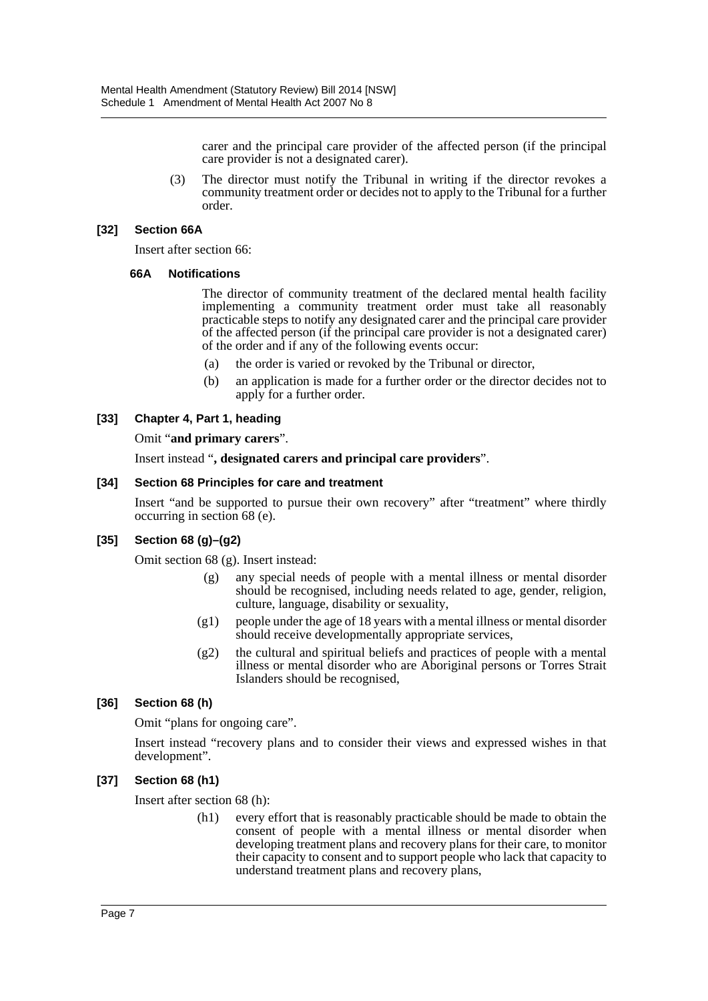carer and the principal care provider of the affected person (if the principal care provider is not a designated carer).

(3) The director must notify the Tribunal in writing if the director revokes a community treatment order or decides not to apply to the Tribunal for a further order.

#### **[32] Section 66A**

Insert after section 66:

#### **66A Notifications**

The director of community treatment of the declared mental health facility implementing a community treatment order must take all reasonably practicable steps to notify any designated carer and the principal care provider of the affected person (if the principal care provider is not a designated carer) of the order and if any of the following events occur:

- (a) the order is varied or revoked by the Tribunal or director,
- (b) an application is made for a further order or the director decides not to apply for a further order.

## **[33] Chapter 4, Part 1, heading**

Omit "**and primary carers**".

Insert instead "**, designated carers and principal care providers**".

#### **[34] Section 68 Principles for care and treatment**

Insert "and be supported to pursue their own recovery" after "treatment" where thirdly occurring in section 68 (e).

## **[35] Section 68 (g)–(g2)**

Omit section 68 (g). Insert instead:

- (g) any special needs of people with a mental illness or mental disorder should be recognised, including needs related to age, gender, religion, culture, language, disability or sexuality,
- (g1) people under the age of 18 years with a mental illness or mental disorder should receive developmentally appropriate services,
- (g2) the cultural and spiritual beliefs and practices of people with a mental illness or mental disorder who are Aboriginal persons or Torres Strait Islanders should be recognised,

## **[36] Section 68 (h)**

Omit "plans for ongoing care".

Insert instead "recovery plans and to consider their views and expressed wishes in that development".

## **[37] Section 68 (h1)**

Insert after section 68 (h):

(h1) every effort that is reasonably practicable should be made to obtain the consent of people with a mental illness or mental disorder when developing treatment plans and recovery plans for their care, to monitor their capacity to consent and to support people who lack that capacity to understand treatment plans and recovery plans,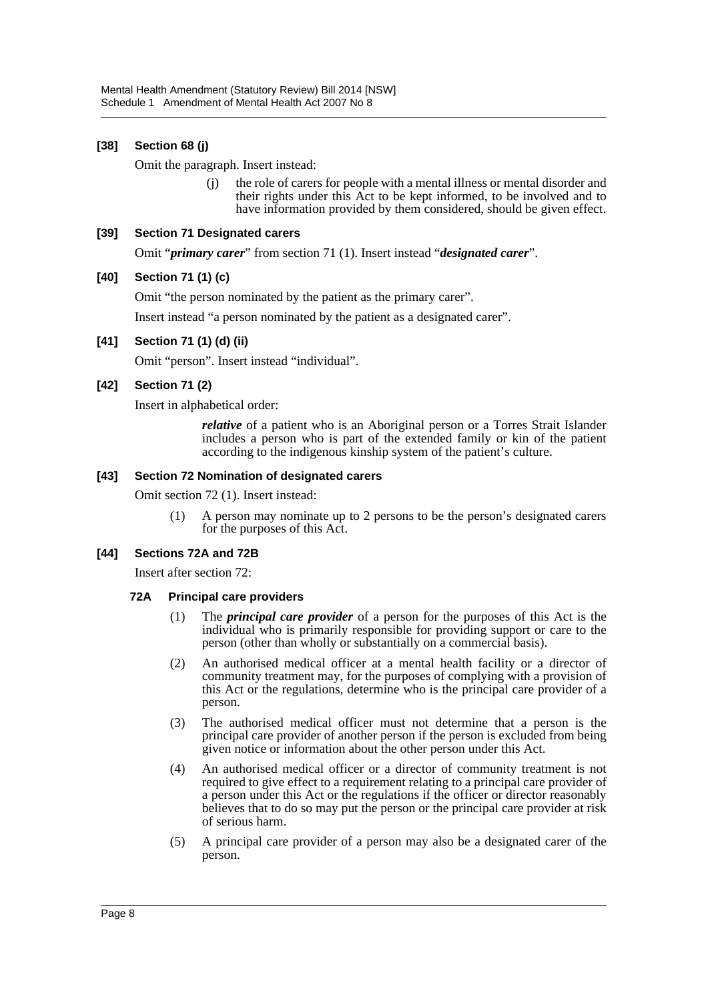## **[38] Section 68 (j)**

Omit the paragraph. Insert instead:

(j) the role of carers for people with a mental illness or mental disorder and their rights under this Act to be kept informed, to be involved and to have information provided by them considered, should be given effect.

#### **[39] Section 71 Designated carers**

Omit "*primary carer*" from section 71 (1). Insert instead "*designated carer*".

#### **[40] Section 71 (1) (c)**

Omit "the person nominated by the patient as the primary carer".

Insert instead "a person nominated by the patient as a designated carer".

#### **[41] Section 71 (1) (d) (ii)**

Omit "person". Insert instead "individual".

#### **[42] Section 71 (2)**

Insert in alphabetical order:

*relative* of a patient who is an Aboriginal person or a Torres Strait Islander includes a person who is part of the extended family or kin of the patient according to the indigenous kinship system of the patient's culture.

#### **[43] Section 72 Nomination of designated carers**

Omit section 72 (1). Insert instead:

(1) A person may nominate up to 2 persons to be the person's designated carers for the purposes of this Act.

## **[44] Sections 72A and 72B**

Insert after section 72:

## **72A Principal care providers**

- (1) The *principal care provider* of a person for the purposes of this Act is the individual who is primarily responsible for providing support or care to the person (other than wholly or substantially on a commercial basis).
- (2) An authorised medical officer at a mental health facility or a director of community treatment may, for the purposes of complying with a provision of this Act or the regulations, determine who is the principal care provider of a person.
- (3) The authorised medical officer must not determine that a person is the principal care provider of another person if the person is excluded from being given notice or information about the other person under this Act.
- (4) An authorised medical officer or a director of community treatment is not required to give effect to a requirement relating to a principal care provider of a person under this Act or the regulations if the officer or director reasonably believes that to do so may put the person or the principal care provider at risk of serious harm.
- (5) A principal care provider of a person may also be a designated carer of the person.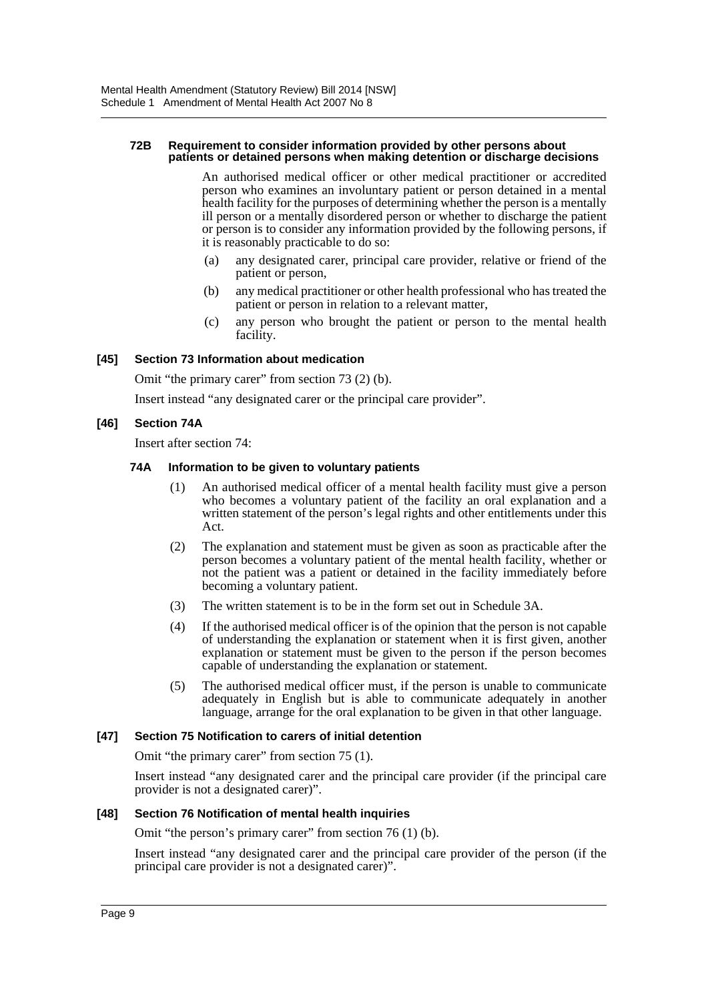#### **72B Requirement to consider information provided by other persons about patients or detained persons when making detention or discharge decisions**

An authorised medical officer or other medical practitioner or accredited person who examines an involuntary patient or person detained in a mental health facility for the purposes of determining whether the person is a mentally ill person or a mentally disordered person or whether to discharge the patient or person is to consider any information provided by the following persons, if it is reasonably practicable to do so:

- (a) any designated carer, principal care provider, relative or friend of the patient or person,
- (b) any medical practitioner or other health professional who has treated the patient or person in relation to a relevant matter,
- (c) any person who brought the patient or person to the mental health facility.

## **[45] Section 73 Information about medication**

Omit "the primary carer" from section 73 (2) (b).

Insert instead "any designated carer or the principal care provider".

## **[46] Section 74A**

Insert after section 74:

## **74A Information to be given to voluntary patients**

- (1) An authorised medical officer of a mental health facility must give a person who becomes a voluntary patient of the facility an oral explanation and a written statement of the person's legal rights and other entitlements under this Act.
- (2) The explanation and statement must be given as soon as practicable after the person becomes a voluntary patient of the mental health facility, whether or not the patient was a patient or detained in the facility immediately before becoming a voluntary patient.
- (3) The written statement is to be in the form set out in Schedule 3A.
- (4) If the authorised medical officer is of the opinion that the person is not capable of understanding the explanation or statement when it is first given, another explanation or statement must be given to the person if the person becomes capable of understanding the explanation or statement.
- (5) The authorised medical officer must, if the person is unable to communicate adequately in English but is able to communicate adequately in another language, arrange for the oral explanation to be given in that other language.

## **[47] Section 75 Notification to carers of initial detention**

Omit "the primary carer" from section 75 (1).

Insert instead "any designated carer and the principal care provider (if the principal care provider is not a designated carer)".

## **[48] Section 76 Notification of mental health inquiries**

Omit "the person's primary carer" from section 76 (1) (b).

Insert instead "any designated carer and the principal care provider of the person (if the principal care provider is not a designated carer)".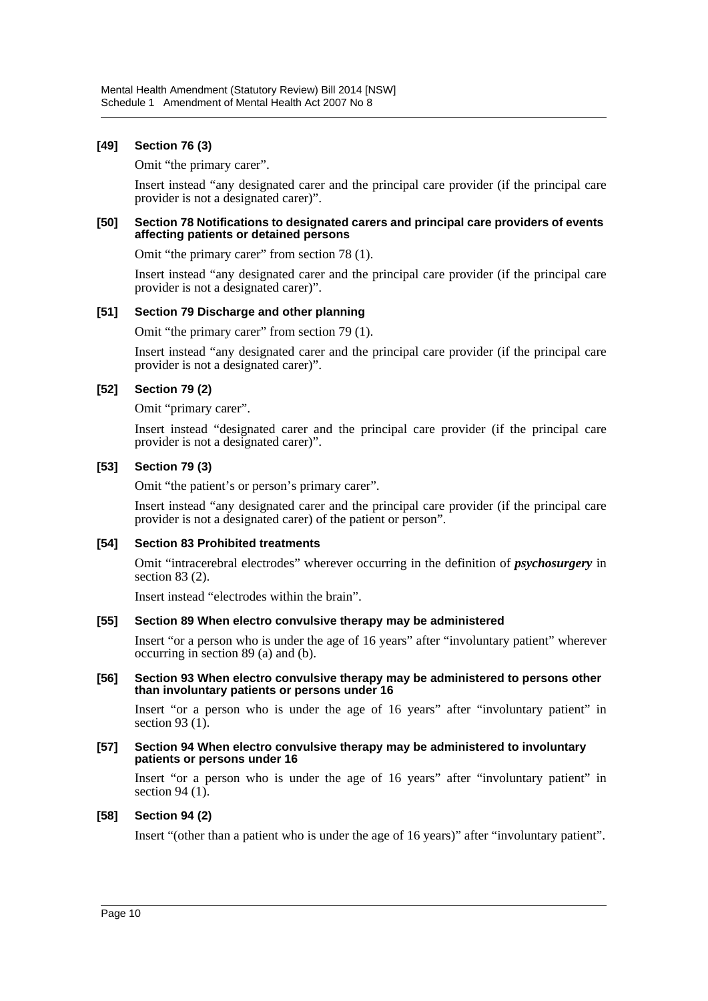## **[49] Section 76 (3)**

Omit "the primary carer".

Insert instead "any designated carer and the principal care provider (if the principal care provider is not a designated carer)".

#### **[50] Section 78 Notifications to designated carers and principal care providers of events affecting patients or detained persons**

Omit "the primary carer" from section 78 (1).

Insert instead "any designated carer and the principal care provider (if the principal care provider is not a designated carer)".

## **[51] Section 79 Discharge and other planning**

Omit "the primary carer" from section 79 (1).

Insert instead "any designated carer and the principal care provider (if the principal care provider is not a designated carer)".

## **[52] Section 79 (2)**

Omit "primary carer".

Insert instead "designated carer and the principal care provider (if the principal care provider is not a designated carer)".

## **[53] Section 79 (3)**

Omit "the patient's or person's primary carer".

Insert instead "any designated carer and the principal care provider (if the principal care provider is not a designated carer) of the patient or person".

## **[54] Section 83 Prohibited treatments**

Omit "intracerebral electrodes" wherever occurring in the definition of *psychosurgery* in section 83 (2).

Insert instead "electrodes within the brain".

## **[55] Section 89 When electro convulsive therapy may be administered**

Insert "or a person who is under the age of 16 years" after "involuntary patient" wherever occurring in section 89 (a) and (b).

#### **[56] Section 93 When electro convulsive therapy may be administered to persons other than involuntary patients or persons under 16**

Insert "or a person who is under the age of 16 years" after "involuntary patient" in section 93 $(1)$ .

#### **[57] Section 94 When electro convulsive therapy may be administered to involuntary patients or persons under 16**

Insert "or a person who is under the age of 16 years" after "involuntary patient" in section 94 $(1)$ .

## **[58] Section 94 (2)**

Insert "(other than a patient who is under the age of 16 years)" after "involuntary patient".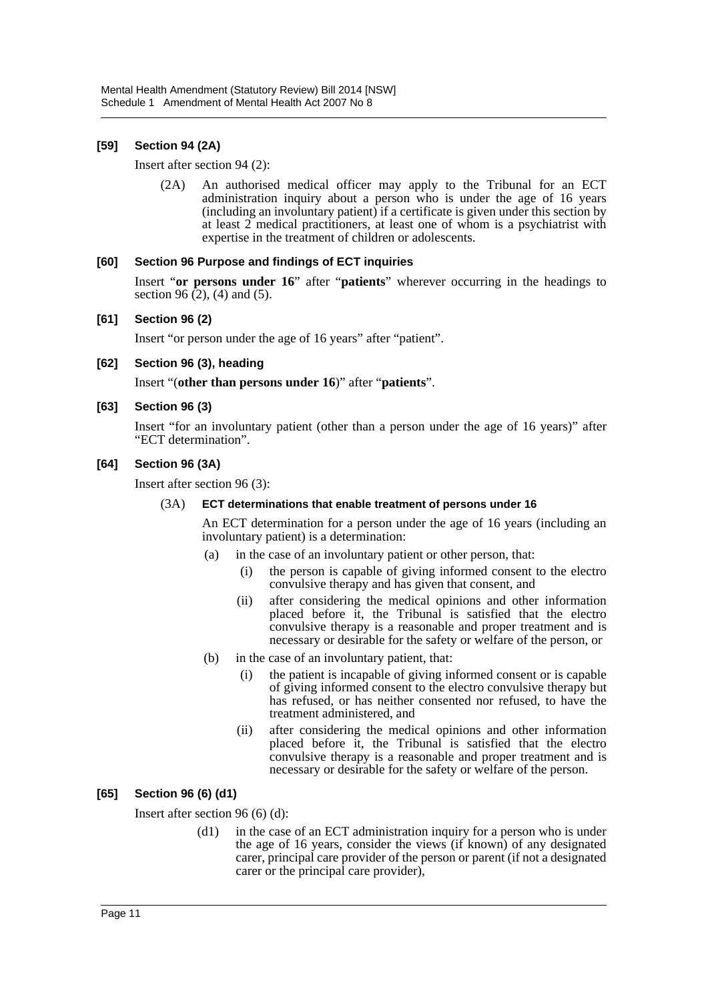## **[59] Section 94 (2A)**

Insert after section 94 (2):

(2A) An authorised medical officer may apply to the Tribunal for an ECT administration inquiry about a person who is under the age of 16 years (including an involuntary patient) if a certificate is given under this section by at least 2 medical practitioners, at least one of whom is a psychiatrist with expertise in the treatment of children or adolescents.

## **[60] Section 96 Purpose and findings of ECT inquiries**

Insert "**or persons under 16**" after "**patients**" wherever occurring in the headings to section 96 $(2)$ , (4) and (5).

## **[61] Section 96 (2)**

Insert "or person under the age of 16 years" after "patient".

**[62] Section 96 (3), heading**

Insert "(**other than persons under 16**)" after "**patients**".

## **[63] Section 96 (3)**

Insert "for an involuntary patient (other than a person under the age of 16 years)" after "ECT determination".

## **[64] Section 96 (3A)**

Insert after section 96 (3):

## (3A) **ECT determinations that enable treatment of persons under 16**

An ECT determination for a person under the age of 16 years (including an involuntary patient) is a determination:

- (a) in the case of an involuntary patient or other person, that:
	- (i) the person is capable of giving informed consent to the electro convulsive therapy and has given that consent, and
	- (ii) after considering the medical opinions and other information placed before it, the Tribunal is satisfied that the electro convulsive therapy is a reasonable and proper treatment and is necessary or desirable for the safety or welfare of the person, or
- (b) in the case of an involuntary patient, that:
	- (i) the patient is incapable of giving informed consent or is capable of giving informed consent to the electro convulsive therapy but has refused, or has neither consented nor refused, to have the treatment administered, and
	- (ii) after considering the medical opinions and other information placed before it, the Tribunal is satisfied that the electro convulsive therapy is a reasonable and proper treatment and is necessary or desirable for the safety or welfare of the person.

## **[65] Section 96 (6) (d1)**

Insert after section 96 (6) (d):

(d1) in the case of an ECT administration inquiry for a person who is under the age of 16 years, consider the views (if known) of any designated carer, principal care provider of the person or parent (if not a designated carer or the principal care provider),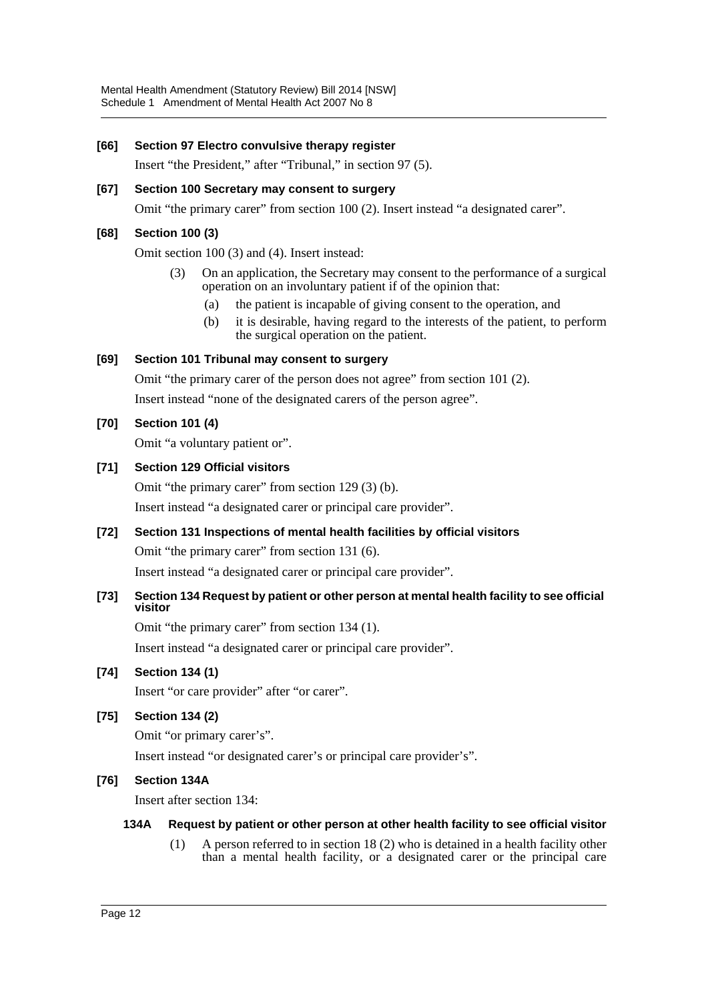## **[66] Section 97 Electro convulsive therapy register**

Insert "the President," after "Tribunal," in section 97 (5).

## **[67] Section 100 Secretary may consent to surgery**

Omit "the primary carer" from section 100 (2). Insert instead "a designated carer".

## **[68] Section 100 (3)**

Omit section 100 (3) and (4). Insert instead:

- (3) On an application, the Secretary may consent to the performance of a surgical operation on an involuntary patient if of the opinion that:
	- (a) the patient is incapable of giving consent to the operation, and
	- (b) it is desirable, having regard to the interests of the patient, to perform the surgical operation on the patient.

## **[69] Section 101 Tribunal may consent to surgery**

Omit "the primary carer of the person does not agree" from section 101 (2).

Insert instead "none of the designated carers of the person agree".

## **[70] Section 101 (4)**

Omit "a voluntary patient or".

## **[71] Section 129 Official visitors**

Omit "the primary carer" from section 129 (3) (b).

Insert instead "a designated carer or principal care provider".

## **[72] Section 131 Inspections of mental health facilities by official visitors**

Omit "the primary carer" from section 131 (6).

Insert instead "a designated carer or principal care provider".

## **[73] Section 134 Request by patient or other person at mental health facility to see official visitor**

Omit "the primary carer" from section 134 (1). Insert instead "a designated carer or principal care provider".

## **[74] Section 134 (1)**

Insert "or care provider" after "or carer".

**[75] Section 134 (2)**

Omit "or primary carer's".

Insert instead "or designated carer's or principal care provider's".

## **[76] Section 134A**

Insert after section 134:

## **134A Request by patient or other person at other health facility to see official visitor**

(1) A person referred to in section 18 (2) who is detained in a health facility other than a mental health facility, or a designated carer or the principal care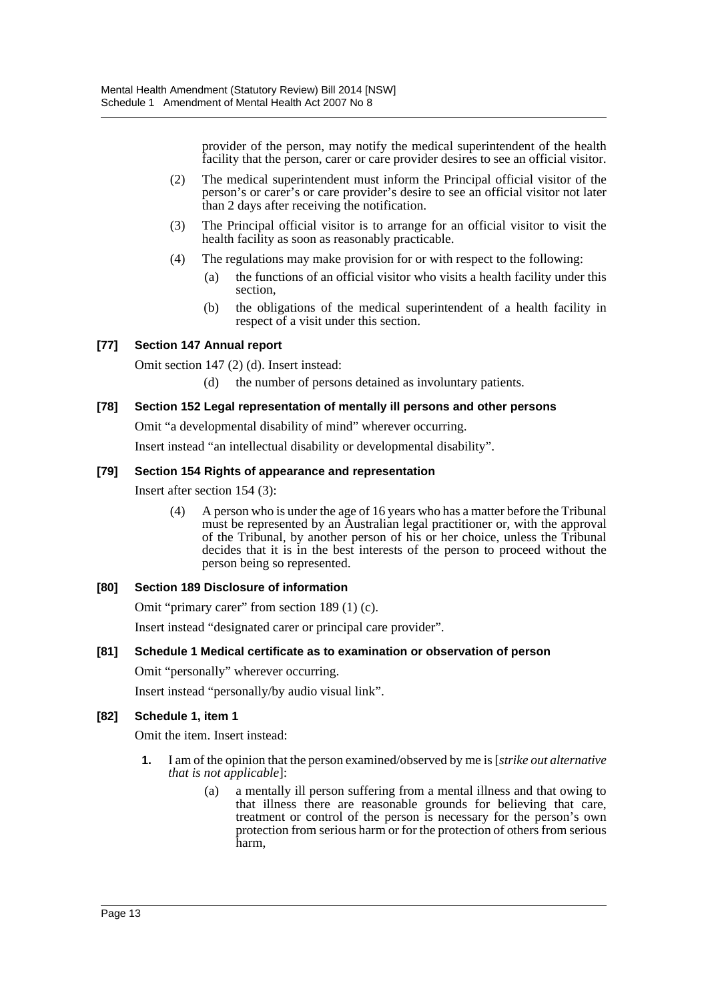provider of the person, may notify the medical superintendent of the health facility that the person, carer or care provider desires to see an official visitor.

- (2) The medical superintendent must inform the Principal official visitor of the person's or carer's or care provider's desire to see an official visitor not later than 2 days after receiving the notification.
- (3) The Principal official visitor is to arrange for an official visitor to visit the health facility as soon as reasonably practicable.
- (4) The regulations may make provision for or with respect to the following:
	- (a) the functions of an official visitor who visits a health facility under this section,
	- (b) the obligations of the medical superintendent of a health facility in respect of a visit under this section.

## **[77] Section 147 Annual report**

Omit section 147 (2) (d). Insert instead:

(d) the number of persons detained as involuntary patients.

## **[78] Section 152 Legal representation of mentally ill persons and other persons**

Omit "a developmental disability of mind" wherever occurring.

Insert instead "an intellectual disability or developmental disability".

#### **[79] Section 154 Rights of appearance and representation**

Insert after section 154 (3):

(4) A person who is under the age of 16 years who has a matter before the Tribunal must be represented by an Australian legal practitioner or, with the approval of the Tribunal, by another person of his or her choice, unless the Tribunal decides that it is in the best interests of the person to proceed without the person being so represented.

## **[80] Section 189 Disclosure of information**

Omit "primary carer" from section 189 (1) (c).

Insert instead "designated carer or principal care provider".

## **[81] Schedule 1 Medical certificate as to examination or observation of person**

Omit "personally" wherever occurring.

Insert instead "personally/by audio visual link".

## **[82] Schedule 1, item 1**

Omit the item. Insert instead:

- **1.** I am of the opinion that the person examined/observed by me is [*strike out alternative that is not applicable*]:
	- (a) a mentally ill person suffering from a mental illness and that owing to that illness there are reasonable grounds for believing that care, treatment or control of the person is necessary for the person's own protection from serious harm or for the protection of others from serious harm,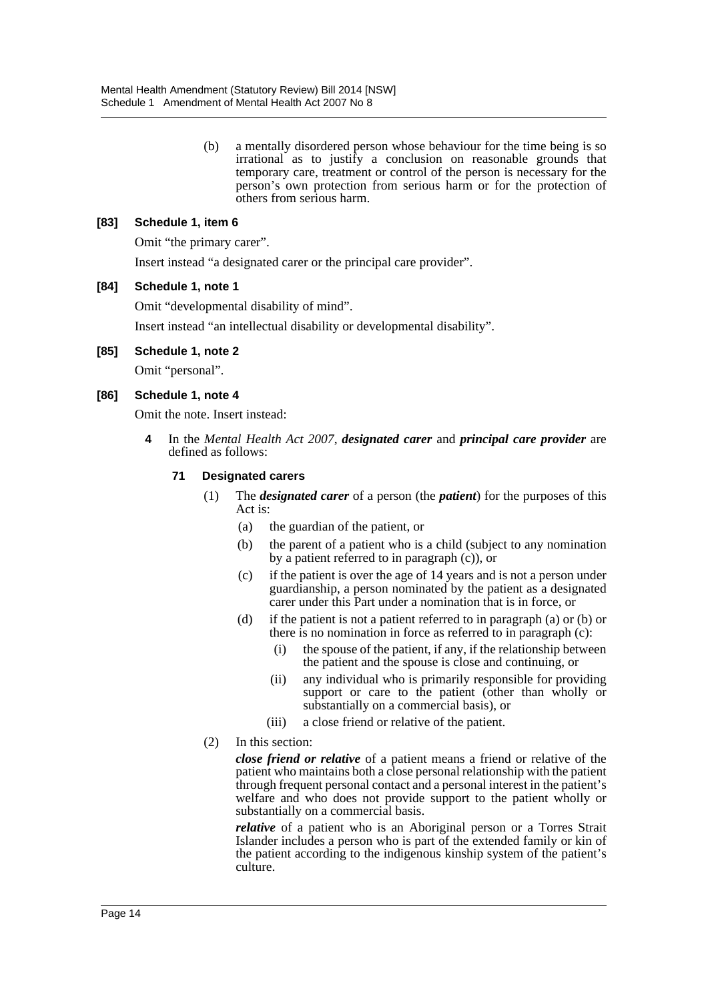(b) a mentally disordered person whose behaviour for the time being is so irrational as to justify a conclusion on reasonable grounds that temporary care, treatment or control of the person is necessary for the person's own protection from serious harm or for the protection of others from serious harm.

## **[83] Schedule 1, item 6**

Omit "the primary carer". Insert instead "a designated carer or the principal care provider".

## **[84] Schedule 1, note 1**

Omit "developmental disability of mind".

Insert instead "an intellectual disability or developmental disability".

#### **[85] Schedule 1, note 2**

Omit "personal".

## **[86] Schedule 1, note 4**

Omit the note. Insert instead:

**4** In the *Mental Health Act 2007*, *designated carer* and *principal care provider* are defined as follows:

#### **71 Designated carers**

- (1) The *designated carer* of a person (the *patient*) for the purposes of this Act is:
	- (a) the guardian of the patient, or
	- (b) the parent of a patient who is a child (subject to any nomination by a patient referred to in paragraph (c)), or
	- (c) if the patient is over the age of 14 years and is not a person under guardianship, a person nominated by the patient as a designated carer under this Part under a nomination that is in force, or
	- (d) if the patient is not a patient referred to in paragraph (a) or (b) or there is no nomination in force as referred to in paragraph (c):
		- (i) the spouse of the patient, if any, if the relationship between the patient and the spouse is close and continuing, or
		- (ii) any individual who is primarily responsible for providing support or care to the patient (other than wholly or substantially on a commercial basis), or
		- (iii) a close friend or relative of the patient.
- (2) In this section:

*close friend or relative* of a patient means a friend or relative of the patient who maintains both a close personal relationship with the patient through frequent personal contact and a personal interest in the patient's welfare and who does not provide support to the patient wholly or substantially on a commercial basis.

*relative* of a patient who is an Aboriginal person or a Torres Strait Islander includes a person who is part of the extended family or kin of the patient according to the indigenous kinship system of the patient's culture.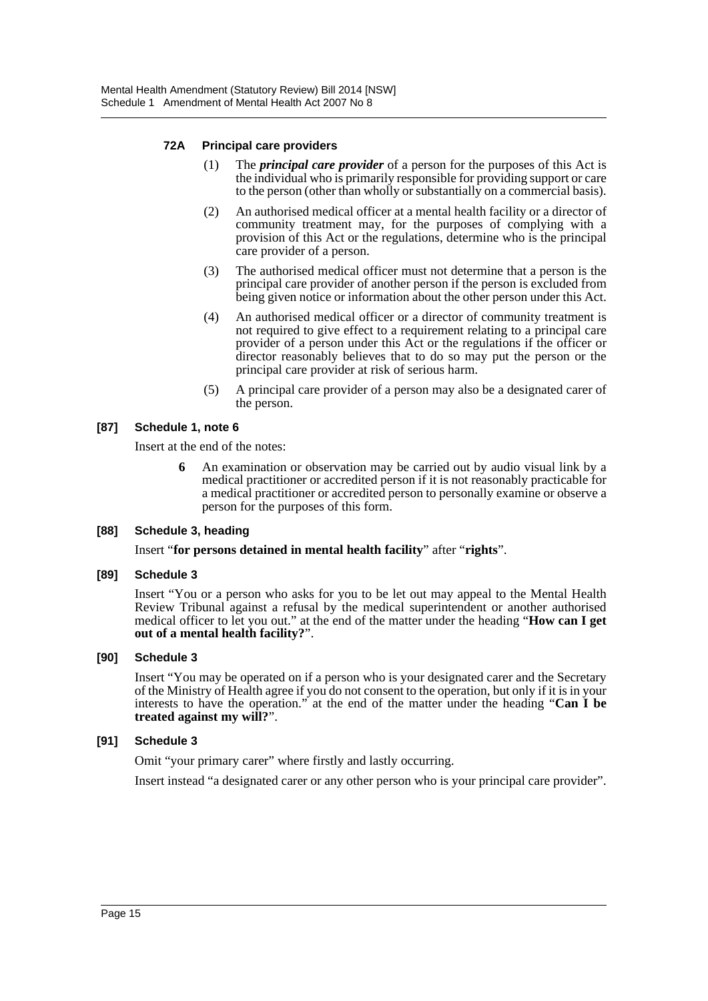## **72A Principal care providers**

- (1) The *principal care provider* of a person for the purposes of this Act is the individual who is primarily responsible for providing support or care to the person (other than wholly or substantially on a commercial basis).
- (2) An authorised medical officer at a mental health facility or a director of community treatment may, for the purposes of complying with a provision of this Act or the regulations, determine who is the principal care provider of a person.
- (3) The authorised medical officer must not determine that a person is the principal care provider of another person if the person is excluded from being given notice or information about the other person under this Act.
- (4) An authorised medical officer or a director of community treatment is not required to give effect to a requirement relating to a principal care provider of a person under this Act or the regulations if the officer or director reasonably believes that to do so may put the person or the principal care provider at risk of serious harm.
- (5) A principal care provider of a person may also be a designated carer of the person.

## **[87] Schedule 1, note 6**

Insert at the end of the notes:

**6** An examination or observation may be carried out by audio visual link by a medical practitioner or accredited person if it is not reasonably practicable for a medical practitioner or accredited person to personally examine or observe a person for the purposes of this form.

## **[88] Schedule 3, heading**

Insert "**for persons detained in mental health facility**" after "**rights**".

## **[89] Schedule 3**

Insert "You or a person who asks for you to be let out may appeal to the Mental Health Review Tribunal against a refusal by the medical superintendent or another authorised medical officer to let you out." at the end of the matter under the heading "**How can I get out of a mental health facility?**".

## **[90] Schedule 3**

Insert "You may be operated on if a person who is your designated carer and the Secretary of the Ministry of Health agree if you do not consent to the operation, but only if it is in your interests to have the operation." at the end of the matter under the heading "**Can I be treated against my will?**".

## **[91] Schedule 3**

Omit "your primary carer" where firstly and lastly occurring.

Insert instead "a designated carer or any other person who is your principal care provider".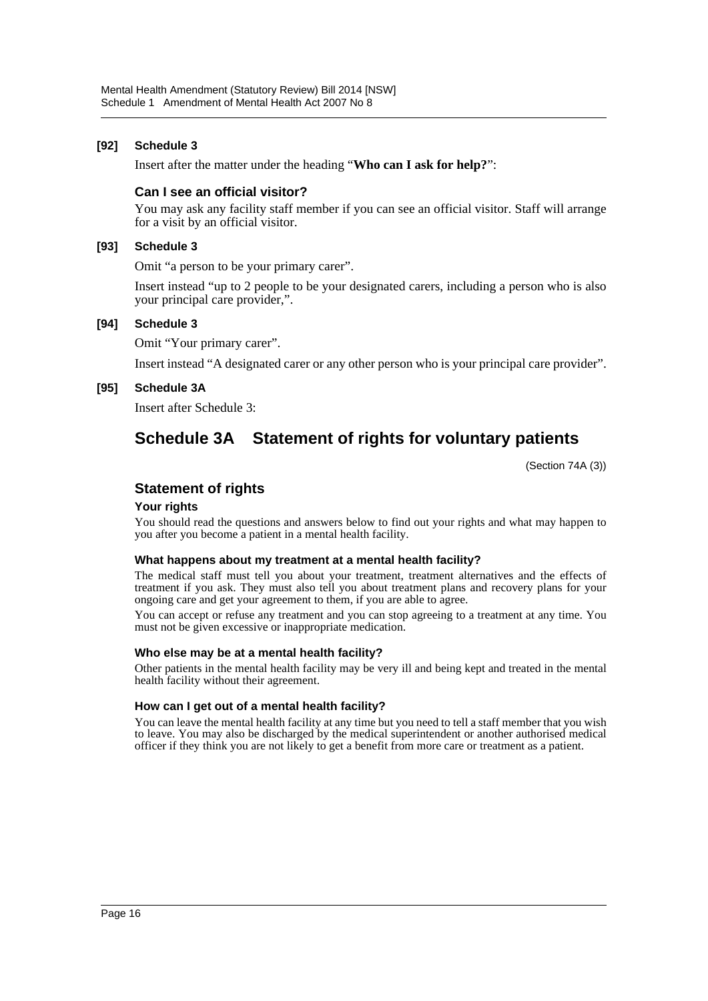## **[92] Schedule 3**

Insert after the matter under the heading "**Who can I ask for help?**":

## **Can I see an official visitor?**

You may ask any facility staff member if you can see an official visitor. Staff will arrange for a visit by an official visitor.

#### **[93] Schedule 3**

Omit "a person to be your primary carer".

Insert instead "up to 2 people to be your designated carers, including a person who is also your principal care provider,".

#### **[94] Schedule 3**

Omit "Your primary carer".

Insert instead "A designated carer or any other person who is your principal care provider".

#### **[95] Schedule 3A**

Insert after Schedule 3:

## **Schedule 3A Statement of rights for voluntary patients**

(Section 74A (3))

## **Statement of rights**

## **Your rights**

You should read the questions and answers below to find out your rights and what may happen to you after you become a patient in a mental health facility.

#### **What happens about my treatment at a mental health facility?**

The medical staff must tell you about your treatment, treatment alternatives and the effects of treatment if you ask. They must also tell you about treatment plans and recovery plans for your ongoing care and get your agreement to them, if you are able to agree.

You can accept or refuse any treatment and you can stop agreeing to a treatment at any time. You must not be given excessive or inappropriate medication.

#### **Who else may be at a mental health facility?**

Other patients in the mental health facility may be very ill and being kept and treated in the mental health facility without their agreement.

#### **How can I get out of a mental health facility?**

You can leave the mental health facility at any time but you need to tell a staff member that you wish to leave. You may also be discharged by the medical superintendent or another authorised medical officer if they think you are not likely to get a benefit from more care or treatment as a patient.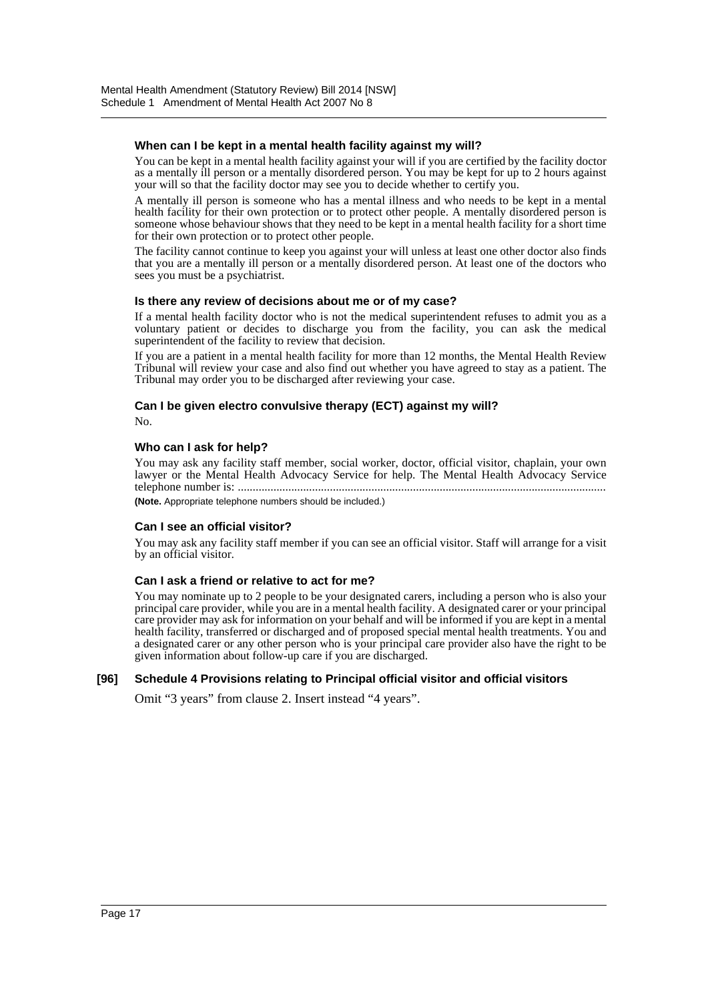#### **When can I be kept in a mental health facility against my will?**

You can be kept in a mental health facility against your will if you are certified by the facility doctor as a mentally ill person or a mentally disordered person. You may be kept for up to 2 hours against your will so that the facility doctor may see you to decide whether to certify you.

A mentally ill person is someone who has a mental illness and who needs to be kept in a mental health facility for their own protection or to protect other people. A mentally disordered person is someone whose behaviour shows that they need to be kept in a mental health facility for a short time for their own protection or to protect other people.

The facility cannot continue to keep you against your will unless at least one other doctor also finds that you are a mentally ill person or a mentally disordered person. At least one of the doctors who sees you must be a psychiatrist.

#### **Is there any review of decisions about me or of my case?**

If a mental health facility doctor who is not the medical superintendent refuses to admit you as a voluntary patient or decides to discharge you from the facility, you can ask the medical superintendent of the facility to review that decision.

If you are a patient in a mental health facility for more than 12 months, the Mental Health Review Tribunal will review your case and also find out whether you have agreed to stay as a patient. The Tribunal may order you to be discharged after reviewing your case.

#### **Can I be given electro convulsive therapy (ECT) against my will?** No.

#### **Who can I ask for help?**

You may ask any facility staff member, social worker, doctor, official visitor, chaplain, your own lawyer or the Mental Health Advocacy Service for help. The Mental Health Advocacy Service telephone number is: ............................................................................................................................

**(Note.** Appropriate telephone numbers should be included.)

#### **Can I see an official visitor?**

You may ask any facility staff member if you can see an official visitor. Staff will arrange for a visit by an official visitor.

#### **Can I ask a friend or relative to act for me?**

You may nominate up to 2 people to be your designated carers, including a person who is also your principal care provider, while you are in a mental health facility. A designated carer or your principal care provider may ask for information on your behalf and will be informed if you are kept in a mental health facility, transferred or discharged and of proposed special mental health treatments. You and a designated carer or any other person who is your principal care provider also have the right to be given information about follow-up care if you are discharged.

## **[96] Schedule 4 Provisions relating to Principal official visitor and official visitors**

Omit "3 years" from clause 2. Insert instead "4 years".